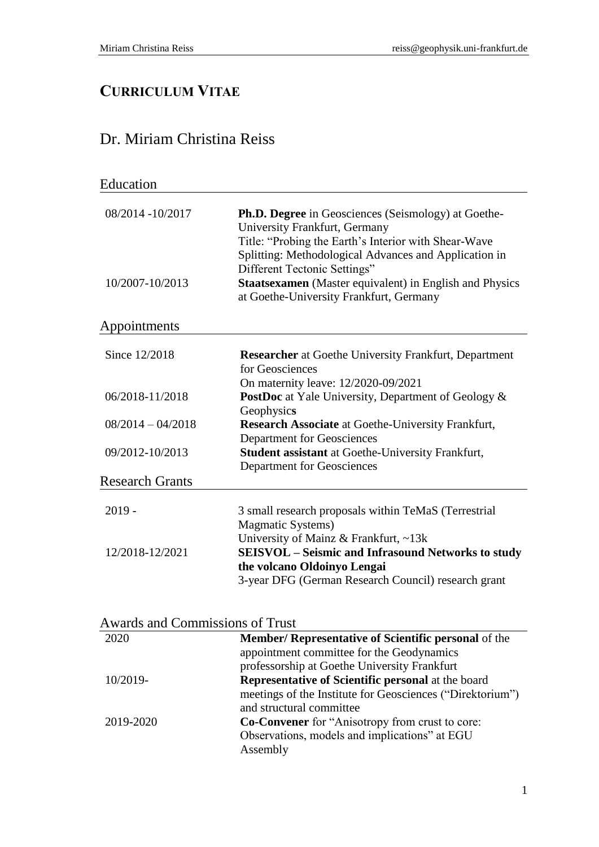## **CURRICULUM VITAE**

## Dr. Miriam Christina Reiss

| Education              |                                                                                                                                                                                                              |
|------------------------|--------------------------------------------------------------------------------------------------------------------------------------------------------------------------------------------------------------|
| 08/2014 -10/2017       | <b>Ph.D. Degree</b> in Geosciences (Seismology) at Goethe-<br>University Frankfurt, Germany<br>Title: "Probing the Earth's Interior with Shear-Wave<br>Splitting: Methodological Advances and Application in |
| 10/2007-10/2013        | Different Tectonic Settings"<br><b>Staatsexamen</b> (Master equivalent) in English and Physics<br>at Goethe-University Frankfurt, Germany                                                                    |
| Appointments           |                                                                                                                                                                                                              |
| Since 12/2018          | <b>Researcher</b> at Goethe University Frankfurt, Department<br>for Geosciences                                                                                                                              |
|                        | On maternity leave: 12/2020-09/2021                                                                                                                                                                          |
| 06/2018-11/2018        | <b>PostDoc</b> at Yale University, Department of Geology &<br>Geophysics                                                                                                                                     |
| $08/2014 - 04/2018$    | <b>Research Associate</b> at Goethe-University Frankfurt,<br><b>Department for Geosciences</b>                                                                                                               |
| 09/2012-10/2013        | <b>Student assistant at Goethe-University Frankfurt,</b><br><b>Department for Geosciences</b>                                                                                                                |
| <b>Research Grants</b> |                                                                                                                                                                                                              |
| $2019 -$               | 3 small research proposals within TeMaS (Terrestrial<br><b>Magmatic Systems)</b><br>University of Mainz & Frankfurt, ~13k                                                                                    |
| 12/2018-12/2021        | <b>SEISVOL</b> - Seismic and Infrasound Networks to study<br>the volcano Oldoinyo Lengai<br>3-year DFG (German Research Council) research grant                                                              |
|                        |                                                                                                                                                                                                              |

| 2020      | <b>Member/ Representative of Scientific personal of the</b> |
|-----------|-------------------------------------------------------------|
|           | appointment committee for the Geodynamics                   |
|           | professorship at Goethe University Frankfurt                |
| 10/2019-  | Representative of Scientific personal at the board          |
|           | meetings of the Institute for Geosciences ("Direktorium")   |
|           | and structural committee                                    |
| 2019-2020 | <b>Co-Convener</b> for "Anisotropy from crust to core:      |
|           | Observations, models and implications" at EGU               |
|           | Assembly                                                    |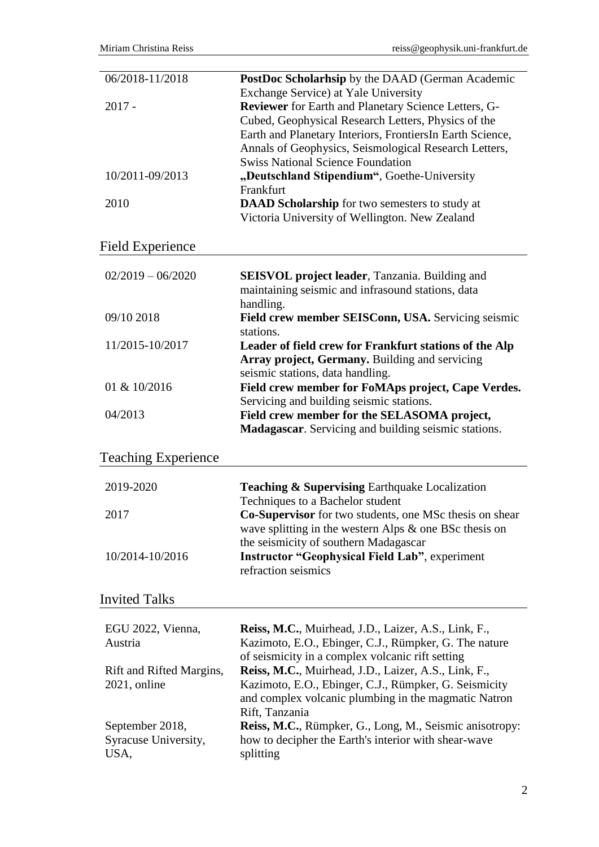| 06/2018-11/2018            | PostDoc Scholarhsip by the DAAD (German Academic<br>Exchange Service) at Yale University          |
|----------------------------|---------------------------------------------------------------------------------------------------|
| $2017 -$                   | Reviewer for Earth and Planetary Science Letters, G-                                              |
|                            | Cubed, Geophysical Research Letters, Physics of the                                               |
|                            | Earth and Planetary Interiors, FrontiersIn Earth Science,                                         |
|                            | Annals of Geophysics, Seismological Research Letters,<br><b>Swiss National Science Foundation</b> |
| 10/2011-09/2013            | "Deutschland Stipendium", Goethe-University                                                       |
|                            | Frankfurt                                                                                         |
| 2010                       | DAAD Scholarship for two semesters to study at                                                    |
|                            | Victoria University of Wellington. New Zealand                                                    |
| <b>Field Experience</b>    |                                                                                                   |
| $02/2019 - 06/2020$        | <b>SEISVOL</b> project leader, Tanzania. Building and                                             |
|                            | maintaining seismic and infrasound stations, data                                                 |
|                            | handling.                                                                                         |
| 09/10 2018                 | Field crew member SEISConn, USA. Servicing seismic                                                |
|                            | stations.                                                                                         |
| 11/2015-10/2017            | Leader of field crew for Frankfurt stations of the Alp                                            |
|                            | Array project, Germany. Building and servicing                                                    |
| 01 & 10/2016               | seismic stations, data handling.<br>Field crew member for FoMAps project, Cape Verdes.            |
|                            | Servicing and building seismic stations.                                                          |
| 04/2013                    | Field crew member for the SELASOMA project,                                                       |
|                            | Madagascar. Servicing and building seismic stations.                                              |
| <b>Teaching Experience</b> |                                                                                                   |
| 2019-2020                  | <b>Teaching &amp; Supervising Earthquake Localization</b>                                         |
|                            | Techniques to a Bachelor student                                                                  |
| 2017                       | <b>Co-Supervisor</b> for two students, one MSc thesis on shear                                    |
|                            | wave splitting in the western Alps $\&$ one BSc thesis on                                         |
|                            | the seismicity of southern Madagascar                                                             |
| 10/2014-10/2016            | <b>Instructor "Geophysical Field Lab"</b> , experiment                                            |
|                            | refraction seismics                                                                               |
| <b>Invited Talks</b>       |                                                                                                   |
| EGU 2022, Vienna,          | Reiss, M.C., Muirhead, J.D., Laizer, A.S., Link, F.,                                              |
| Austria                    | Kazimoto, E.O., Ebinger, C.J., Rümpker, G. The nature                                             |
|                            | of seismicity in a complex volcanic rift setting                                                  |
| Rift and Rifted Margins,   | Reiss, M.C., Muirhead, J.D., Laizer, A.S., Link, F.,                                              |
| $2021$ , online            | Kazimoto, E.O., Ebinger, C.J., Rümpker, G. Seismicity                                             |
|                            | and complex volcanic plumbing in the magmatic Natron<br>Rift, Tanzania                            |
| September 2018,            | Reiss, M.C., Rümpker, G., Long, M., Seismic anisotropy:                                           |
| Syracuse University,       | how to decipher the Earth's interior with shear-wave                                              |
| USA,                       | splitting                                                                                         |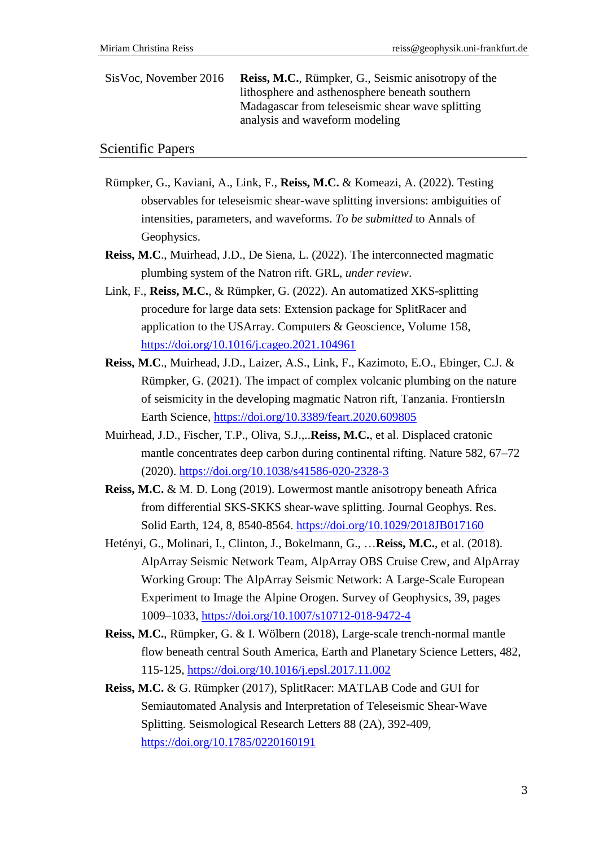SisVoc, November 2016 **Reiss, M.C.**, Rümpker, G., Seismic anisotropy of the lithosphere and asthenosphere beneath southern Madagascar from teleseismic shear wave splitting analysis and waveform modeling

## Scientific Papers

- Rümpker, G., Kaviani, A., Link, F., **Reiss, M.C.** & Komeazi, A. (2022). Testing observables for teleseismic shear-wave splitting inversions: ambiguities of intensities, parameters, and waveforms. *To be submitted* to Annals of Geophysics.
- **Reiss, M.C**., Muirhead, J.D., De Siena, L. (2022). The interconnected magmatic plumbing system of the Natron rift. GRL, *under review*.
- Link, F., **Reiss, M.C.**, & Rümpker, G. (2022). An automatized XKS-splitting procedure for large data sets: Extension package for SplitRacer and application to the USArray. Computers & Geoscience, Volume 158, <https://doi.org/10.1016/j.cageo.2021.104961>
- **Reiss, M.C**., Muirhead, J.D., Laizer, A.S., Link, F., Kazimoto, E.O., Ebinger, C.J. & Rümpker, G. (2021). The impact of complex volcanic plumbing on the nature of seismicity in the developing magmatic Natron rift, Tanzania. FrontiersIn Earth Science,<https://doi.org/10.3389/feart.2020.609805>
- Muirhead, J.D., Fischer, T.P., Oliva, S.J.,..**Reiss, M.C.**, et al. Displaced cratonic mantle concentrates deep carbon during continental rifting. Nature 582, 67–72 (2020).<https://doi.org/10.1038/s41586-020-2328-3>
- **Reiss, M.C.** & M. D. Long (2019). Lowermost mantle anisotropy beneath Africa from differential SKS-SKKS shear-wave splitting. Journal Geophys. Res. Solid Earth, 124, 8, 8540-8564.<https://doi.org/10.1029/2018JB017160>
- Hetényi, G., Molinari, I., Clinton, J., Bokelmann, G., …**Reiss, M.C.**, et al. (2018). AlpArray Seismic Network Team, AlpArray OBS Cruise Crew, and AlpArray Working Group: The AlpArray Seismic Network: A Large-Scale European Experiment to Image the Alpine Orogen. Survey of Geophysics, 39, pages 1009–1033,<https://doi.org/10.1007/s10712-018-9472-4>
- **Reiss, M.C.**, Rümpker, G. & I. Wölbern (2018), Large-scale trench-normal mantle flow beneath central South America, Earth and Planetary Science Letters, 482, 115-125,<https://doi.org/10.1016/j.epsl.2017.11.002>
- **Reiss, M.C.** & G. Rümpker (2017), SplitRacer: MATLAB Code and GUI for Semiautomated Analysis and Interpretation of Teleseismic Shear‐Wave Splitting. Seismological Research Letters 88 (2A), 392-409, <https://doi.org/10.1785/0220160191>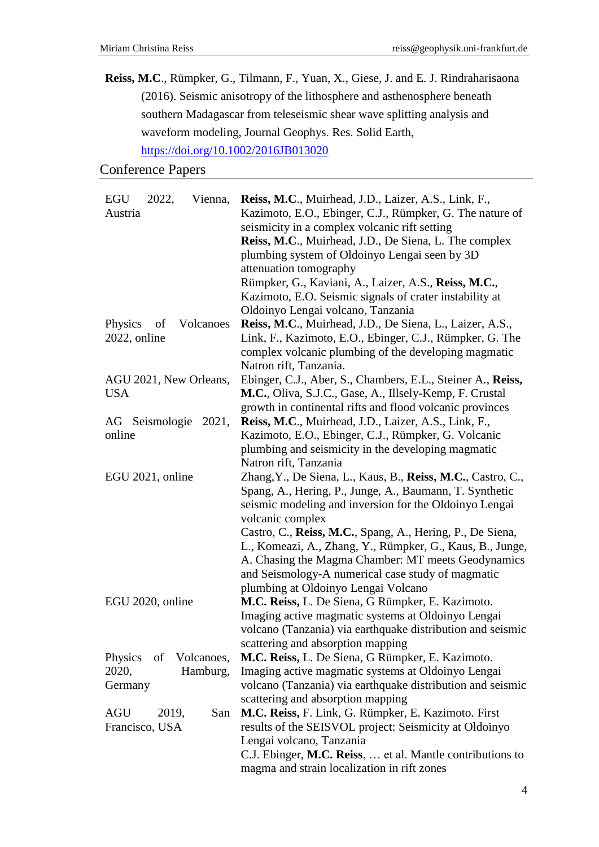**Reiss, M.C**., Rümpker, G., Tilmann, F., Yuan, X., Giese, J. and E. J. Rindraharisaona (2016). Seismic anisotropy of the lithosphere and asthenosphere beneath southern Madagascar from teleseismic shear wave splitting analysis and waveform modeling, Journal Geophys. Res. Solid Earth, <https://doi.org/10.1002/2016JB013020>

## Conference Papers

| <b>EGU</b><br>Vienna,<br>2022, | Reiss, M.C., Muirhead, J.D., Laizer, A.S., Link, F.,        |
|--------------------------------|-------------------------------------------------------------|
| Austria                        | Kazimoto, E.O., Ebinger, C.J., Rümpker, G. The nature of    |
|                                | seismicity in a complex volcanic rift setting               |
|                                | Reiss, M.C., Muirhead, J.D., De Siena, L. The complex       |
|                                | plumbing system of Oldoinyo Lengai seen by 3D               |
|                                | attenuation tomography                                      |
|                                | Rümpker, G., Kaviani, A., Laizer, A.S., Reiss, M.C.,        |
|                                | Kazimoto, E.O. Seismic signals of crater instability at     |
|                                | Oldoinyo Lengai volcano, Tanzania                           |
| Physics<br>Volcanoes<br>of     | Reiss, M.C., Muirhead, J.D., De Siena, L., Laizer, A.S.,    |
| 2022, online                   | Link, F., Kazimoto, E.O., Ebinger, C.J., Rümpker, G. The    |
|                                | complex volcanic plumbing of the developing magmatic        |
|                                | Natron rift, Tanzania.                                      |
|                                |                                                             |
| AGU 2021, New Orleans,         | Ebinger, C.J., Aber, S., Chambers, E.L., Steiner A., Reiss, |
| <b>USA</b>                     | M.C., Oliva, S.J.C., Gase, A., Illsely-Kemp, F. Crustal     |
|                                | growth in continental rifts and flood volcanic provinces    |
| AG Seismologie 2021,           | Reiss, M.C., Muirhead, J.D., Laizer, A.S., Link, F.,        |
| online                         | Kazimoto, E.O., Ebinger, C.J., Rümpker, G. Volcanic         |
|                                | plumbing and seismicity in the developing magmatic          |
|                                | Natron rift, Tanzania                                       |
| EGU 2021, online               | Zhang, Y., De Siena, L., Kaus, B., Reiss, M.C., Castro, C., |
|                                | Spang, A., Hering, P., Junge, A., Baumann, T. Synthetic     |
|                                | seismic modeling and inversion for the Oldoinyo Lengai      |
|                                | volcanic complex                                            |
|                                | Castro, C., Reiss, M.C., Spang, A., Hering, P., De Siena,   |
|                                | L., Komeazi, A., Zhang, Y., Rümpker, G., Kaus, B., Junge,   |
|                                | A. Chasing the Magma Chamber: MT meets Geodynamics          |
|                                | and Seismology-A numerical case study of magmatic           |
|                                | plumbing at Oldoinyo Lengai Volcano                         |
| EGU 2020, online               | M.C. Reiss, L. De Siena, G Rümpker, E. Kazimoto.            |
|                                | Imaging active magmatic systems at Oldoinyo Lengai          |
|                                | volcano (Tanzania) via earthquake distribution and seismic  |
|                                | scattering and absorption mapping                           |
| Physics<br>Volcanoes,<br>of    | M.C. Reiss, L. De Siena, G Rümpker, E. Kazimoto.            |
| 2020,<br>Hamburg,              | Imaging active magmatic systems at Oldoinyo Lengai          |
| Germany                        | volcano (Tanzania) via earthquake distribution and seismic  |
|                                | scattering and absorption mapping                           |
| <b>AGU</b><br>2019,<br>San     | M.C. Reiss, F. Link, G. Rümpker, E. Kazimoto. First         |
| Francisco, USA                 | results of the SEISVOL project: Seismicity at Oldoinyo      |
|                                | Lengai volcano, Tanzania                                    |
|                                | C.J. Ebinger, M.C. Reiss,  et al. Mantle contributions to   |
|                                | magma and strain localization in rift zones                 |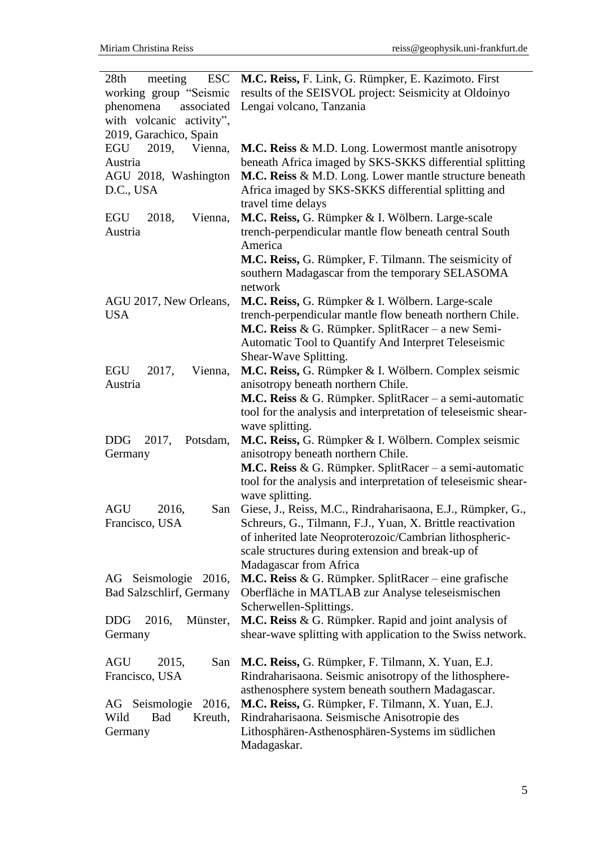| 28 <sub>th</sub><br>meeting<br><b>ESC</b> | M.C. Reiss, F. Link, G. Rümpker, E. Kazimoto. First                                                          |
|-------------------------------------------|--------------------------------------------------------------------------------------------------------------|
| working group "Seismic                    | results of the SEISVOL project: Seismicity at Oldoinyo                                                       |
| phenomena<br>associated                   | Lengai volcano, Tanzania                                                                                     |
| with volcanic activity",                  |                                                                                                              |
| 2019, Garachico, Spain                    |                                                                                                              |
| EGU 2019,<br>Vienna,                      | M.C. Reiss & M.D. Long. Lowermost mantle anisotropy                                                          |
| Austria                                   | beneath Africa imaged by SKS-SKKS differential splitting                                                     |
| AGU 2018, Washington                      | M.C. Reiss & M.D. Long. Lower mantle structure beneath                                                       |
| D.C., USA                                 | Africa imaged by SKS-SKKS differential splitting and                                                         |
|                                           | travel time delays                                                                                           |
| EGU<br>Vienna,<br>2018,                   | M.C. Reiss, G. Rümpker & I. Wölbern. Large-scale                                                             |
| Austria                                   | trench-perpendicular mantle flow beneath central South                                                       |
|                                           | America                                                                                                      |
|                                           | M.C. Reiss, G. Rümpker, F. Tilmann. The seismicity of                                                        |
|                                           | southern Madagascar from the temporary SELASOMA                                                              |
|                                           | network                                                                                                      |
| AGU 2017, New Orleans,                    | M.C. Reiss, G. Rümpker & I. Wölbern. Large-scale                                                             |
| <b>USA</b>                                | trench-perpendicular mantle flow beneath northern Chile.                                                     |
|                                           | <b>M.C. Reiss &amp; G. Rümpker. SplitRacer – a new Semi-</b>                                                 |
|                                           | Automatic Tool to Quantify And Interpret Teleseismic                                                         |
|                                           | Shear-Wave Splitting.                                                                                        |
| EGU<br>2017,<br>Vienna,                   | M.C. Reiss, G. Rümpker & I. Wölbern. Complex seismic                                                         |
| Austria                                   | anisotropy beneath northern Chile.                                                                           |
|                                           | <b>M.C. Reiss &amp; G. Rümpker. SplitRacer</b> – a semi-automatic                                            |
|                                           | tool for the analysis and interpretation of teleseismic shear-                                               |
|                                           | wave splitting.                                                                                              |
| <b>DDG</b><br>2017,<br>Potsdam,           | M.C. Reiss, G. Rümpker & I. Wölbern. Complex seismic                                                         |
| Germany                                   | anisotropy beneath northern Chile.                                                                           |
|                                           | <b>M.C. Reiss &amp; G. Rümpker. SplitRacer</b> – a semi-automatic                                            |
|                                           | tool for the analysis and interpretation of teleseismic shear-                                               |
|                                           | wave splitting.                                                                                              |
| <b>AGU</b><br>2016,<br>San                | Giese, J., Reiss, M.C., Rindraharisaona, E.J., Rümpker, G.,                                                  |
| Francisco, USA                            | Schreurs, G., Tilmann, F.J., Yuan, X. Brittle reactivation                                                   |
|                                           | of inherited late Neoproterozoic/Cambrian lithospheric-                                                      |
|                                           | scale structures during extension and break-up of                                                            |
|                                           | Madagascar from Africa                                                                                       |
| AG Seismologie 2016,                      | <b>M.C. Reiss &amp; G. Rümpker. SplitRacer</b> – eine grafische                                              |
| <b>Bad Salzschlirf, Germany</b>           | Oberfläche in MATLAB zur Analyse teleseismischen                                                             |
|                                           | Scherwellen-Splittings.                                                                                      |
| 2016,<br>Münster,<br><b>DDG</b>           | M.C. Reiss & G. Rümpker. Rapid and joint analysis of                                                         |
| Germany                                   | shear-wave splitting with application to the Swiss network.                                                  |
| <b>AGU</b><br>San                         |                                                                                                              |
| 2015,<br>Francisco, USA                   | M.C. Reiss, G. Rümpker, F. Tilmann, X. Yuan, E.J.<br>Rindraharisaona. Seismic anisotropy of the lithosphere- |
|                                           | asthenosphere system beneath southern Madagascar.                                                            |
| AG Seismologie 2016,                      | M.C. Reiss, G. Rümpker, F. Tilmann, X. Yuan, E.J.                                                            |
| Wild<br><b>Bad</b><br>Kreuth,             | Rindraharisaona. Seismische Anisotropie des                                                                  |
| Germany                                   | Lithosphären-Asthenosphären-Systems im südlichen                                                             |
|                                           | Madagaskar.                                                                                                  |